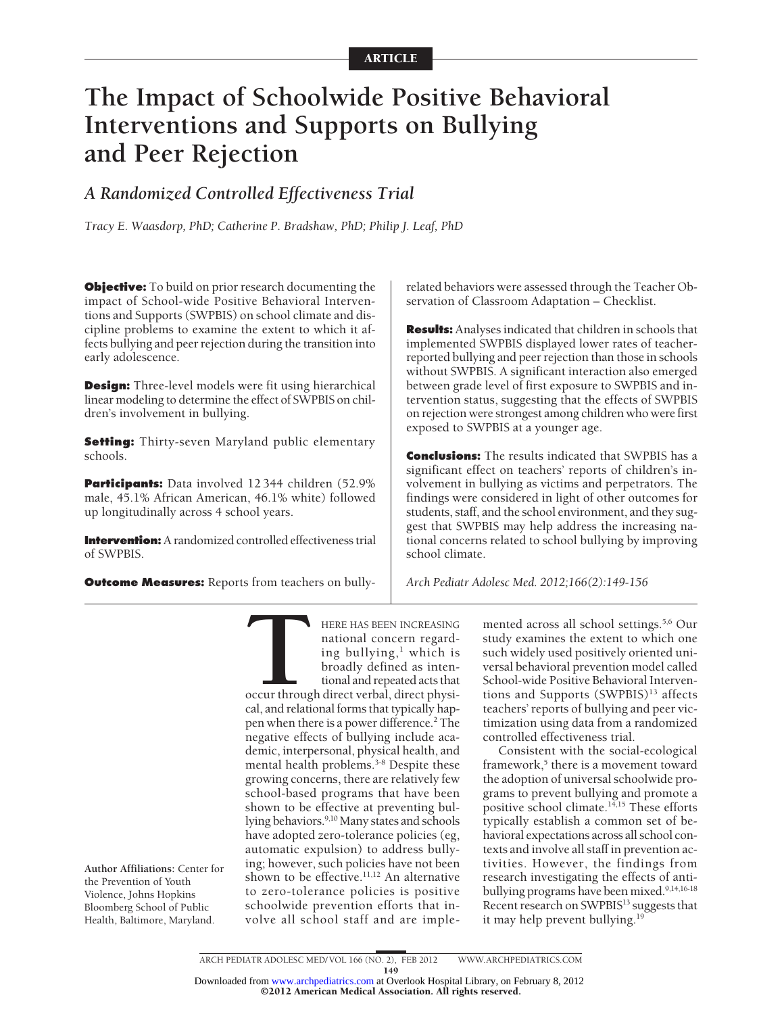# **The Impact of Schoolwide Positive Behavioral Interventions and Supports on Bullying and Peer Rejection**

# *A Randomized Controlled Effectiveness Trial*

*Tracy E. Waasdorp, PhD; Catherine P. Bradshaw, PhD; Philip J. Leaf, PhD*

**Objective:** To build on prior research documenting the impact of School-wide Positive Behavioral Interventions and Supports (SWPBIS) on school climate and discipline problems to examine the extent to which it affects bullying and peer rejection during the transition into early adolescence.

**Design:** Three-level models were fit using hierarchical linear modeling to determine the effect of SWPBIS on children's involvement in bullying.

**Setting:** Thirty-seven Maryland public elementary schools.

**Participants:** Data involved 12 344 children (52.9% male, 45.1% African American, 46.1% white) followed up longitudinally across 4 school years.

**Intervention:** A randomized controlled effectiveness trial of SWPBIS.

**Outcome Measures:** Reports from teachers on bully-

related behaviors were assessed through the Teacher Observation of Classroom Adaptation – Checklist.

**Results:** Analyses indicated that children in schools that implemented SWPBIS displayed lower rates of teacherreported bullying and peer rejection than those in schools without SWPBIS. A significant interaction also emerged between grade level of first exposure to SWPBIS and intervention status, suggesting that the effects of SWPBIS on rejection were strongest among children who were first exposed to SWPBIS at a younger age.

**Conclusions:** The results indicated that SWPBIS has a significant effect on teachers' reports of children's involvement in bullying as victims and perpetrators. The findings were considered in light of other outcomes for students, staff, and the school environment, and they suggest that SWPBIS may help address the increasing national concerns related to school bullying by improving school climate.

*Arch Pediatr Adolesc Med. 2012;166(2):149-156*

HERE HAS BEEN INCREASING<br>
national concern regard-<br>
ing bullying,<sup>1</sup> which is<br>
broadly defined as inten-<br>
tional and repeated acts that<br>
occur through direct verbal, direct physi-<br>
cal, and relational forms that typically national concern regarding bullying, $<sup>1</sup>$  which is</sup> broadly defined as intentional and repeated acts that

occur through direct verbal, direct physical, and relational forms that typically happen when there is a power difference.2 The negative effects of bullying include academic, interpersonal, physical health, and mental health problems.<sup>3-8</sup> Despite these growing concerns, there are relatively few school-based programs that have been shown to be effective at preventing bullying behaviors.<sup>9,10</sup> Many states and schools have adopted zero-tolerance policies (eg, automatic expulsion) to address bullying; however, such policies have not been shown to be effective.<sup>11,12</sup> An alternative to zero-tolerance policies is positive schoolwide prevention efforts that involve all school staff and are imple-

mented across all school settings.<sup>5,6</sup> Our study examines the extent to which one such widely used positively oriented universal behavioral prevention model called School-wide Positive Behavioral Interventions and Supports (SWPBIS)<sup>13</sup> affects teachers' reports of bullying and peer victimization using data from a randomized controlled effectiveness trial.

Consistent with the social-ecological framework,<sup>5</sup> there is a movement toward the adoption of universal schoolwide programs to prevent bullying and promote a positive school climate. $14,15$  These efforts typically establish a common set of behavioral expectations across all school contexts and involve all staff in prevention activities. However, the findings from research investigating the effects of antibullying programs have been mixed.<sup>9,14,16-18</sup> Recent research on SWPBIS<sup>13</sup> suggests that it may help prevent bullying.19

**Author Affiliations:** Center for the Prevention of Youth Violence, Johns Hopkins Bloomberg School of Public Health, Baltimore, Maryland.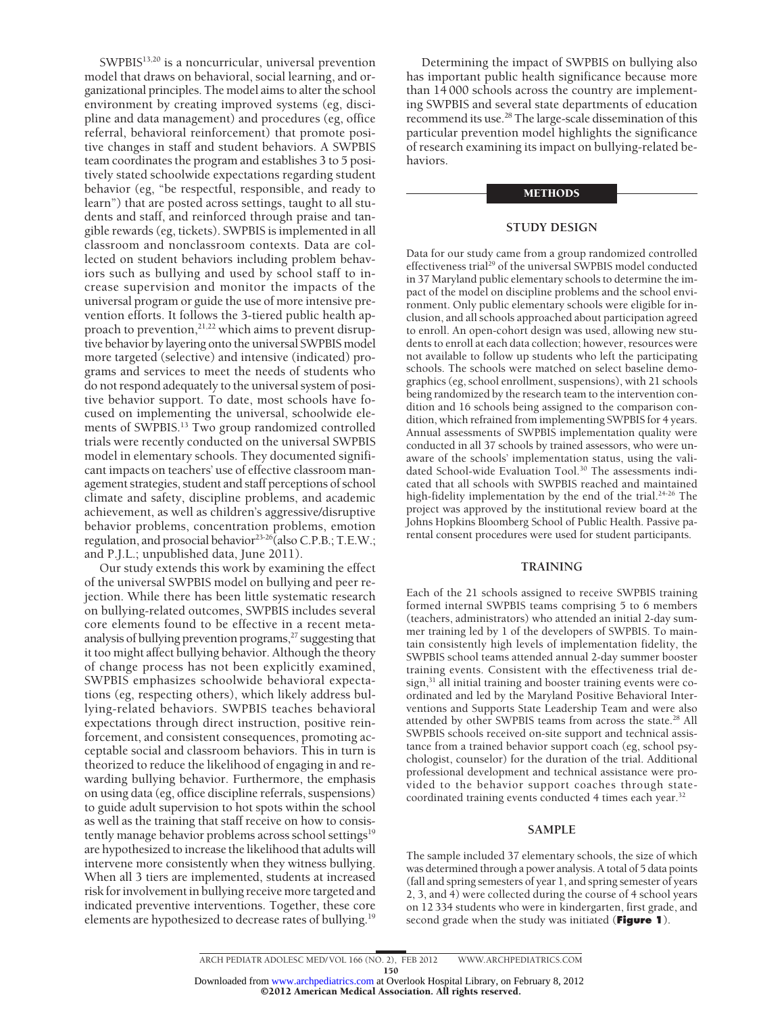SWPBIS<sup>13,20</sup> is a noncurricular, universal prevention model that draws on behavioral, social learning, and organizational principles. The model aims to alter the school environment by creating improved systems (eg, discipline and data management) and procedures (eg, office referral, behavioral reinforcement) that promote positive changes in staff and student behaviors. A SWPBIS team coordinates the program and establishes 3 to 5 positively stated schoolwide expectations regarding student behavior (eg, "be respectful, responsible, and ready to learn") that are posted across settings, taught to all students and staff, and reinforced through praise and tangible rewards (eg, tickets). SWPBIS is implemented in all classroom and nonclassroom contexts. Data are collected on student behaviors including problem behaviors such as bullying and used by school staff to increase supervision and monitor the impacts of the universal program or guide the use of more intensive prevention efforts. It follows the 3-tiered public health approach to prevention,  $2^{1,22}$  which aims to prevent disruptive behavior by layering onto the universal SWPBIS model more targeted (selective) and intensive (indicated) programs and services to meet the needs of students who do not respond adequately to the universal system of positive behavior support. To date, most schools have focused on implementing the universal, schoolwide elements of SWPBIS.<sup>13</sup> Two group randomized controlled trials were recently conducted on the universal SWPBIS model in elementary schools. They documented significant impacts on teachers' use of effective classroom management strategies, student and staff perceptions of school climate and safety, discipline problems, and academic achievement, as well as children's aggressive/disruptive behavior problems, concentration problems, emotion regulation, and prosocial behavior<sup>23-26</sup> (also C.P.B.; T.E.W.; and P.J.L.; unpublished data, June 2011).

Our study extends this work by examining the effect of the universal SWPBIS model on bullying and peer rejection. While there has been little systematic research on bullying-related outcomes, SWPBIS includes several core elements found to be effective in a recent metaanalysis of bullying prevention programs, $27$  suggesting that it too might affect bullying behavior. Although the theory of change process has not been explicitly examined, SWPBIS emphasizes schoolwide behavioral expectations (eg, respecting others), which likely address bullying-related behaviors. SWPBIS teaches behavioral expectations through direct instruction, positive reinforcement, and consistent consequences, promoting acceptable social and classroom behaviors. This in turn is theorized to reduce the likelihood of engaging in and rewarding bullying behavior. Furthermore, the emphasis on using data (eg, office discipline referrals, suspensions) to guide adult supervision to hot spots within the school as well as the training that staff receive on how to consistently manage behavior problems across school settings<sup>19</sup> are hypothesized to increase the likelihood that adults will intervene more consistently when they witness bullying. When all 3 tiers are implemented, students at increased risk for involvement in bullying receive more targeted and indicated preventive interventions. Together, these core elements are hypothesized to decrease rates of bullying.19

Determining the impact of SWPBIS on bullying also has important public health significance because more than 14 000 schools across the country are implementing SWPBIS and several state departments of education recommend its use.28 The large-scale dissemination of this particular prevention model highlights the significance of research examining its impact on bullying-related behaviors.

#### METHODS

## **STUDY DESIGN**

Data for our study came from a group randomized controlled effectiveness trial<sup>29</sup> of the universal SWPBIS model conducted in 37 Maryland public elementary schools to determine the impact of the model on discipline problems and the school environment. Only public elementary schools were eligible for inclusion, and all schools approached about participation agreed to enroll. An open-cohort design was used, allowing new students to enroll at each data collection; however, resources were not available to follow up students who left the participating schools. The schools were matched on select baseline demographics (eg, school enrollment, suspensions), with 21 schools being randomized by the research team to the intervention condition and 16 schools being assigned to the comparison condition, which refrained from implementing SWPBIS for 4 years. Annual assessments of SWPBIS implementation quality were conducted in all 37 schools by trained assessors, who were unaware of the schools' implementation status, using the validated School-wide Evaluation Tool.<sup>30</sup> The assessments indicated that all schools with SWPBIS reached and maintained high-fidelity implementation by the end of the trial.<sup>24-26</sup> The project was approved by the institutional review board at the Johns Hopkins Bloomberg School of Public Health. Passive parental consent procedures were used for student participants.

#### **TRAINING**

Each of the 21 schools assigned to receive SWPBIS training formed internal SWPBIS teams comprising 5 to 6 members (teachers, administrators) who attended an initial 2-day summer training led by 1 of the developers of SWPBIS. To maintain consistently high levels of implementation fidelity, the SWPBIS school teams attended annual 2-day summer booster training events. Consistent with the effectiveness trial design,<sup>31</sup> all initial training and booster training events were coordinated and led by the Maryland Positive Behavioral Interventions and Supports State Leadership Team and were also attended by other SWPBIS teams from across the state.<sup>28</sup> All SWPBIS schools received on-site support and technical assistance from a trained behavior support coach (eg, school psychologist, counselor) for the duration of the trial. Additional professional development and technical assistance were provided to the behavior support coaches through statecoordinated training events conducted 4 times each year.32

#### **SAMPLE**

The sample included 37 elementary schools, the size of which was determined through a power analysis. A total of 5 data points (fall and spring semesters of year 1, and spring semester of years 2, 3, and 4) were collected during the course of 4 school years on 12 334 students who were in kindergarten, first grade, and second grade when the study was initiated (**Figure 1**).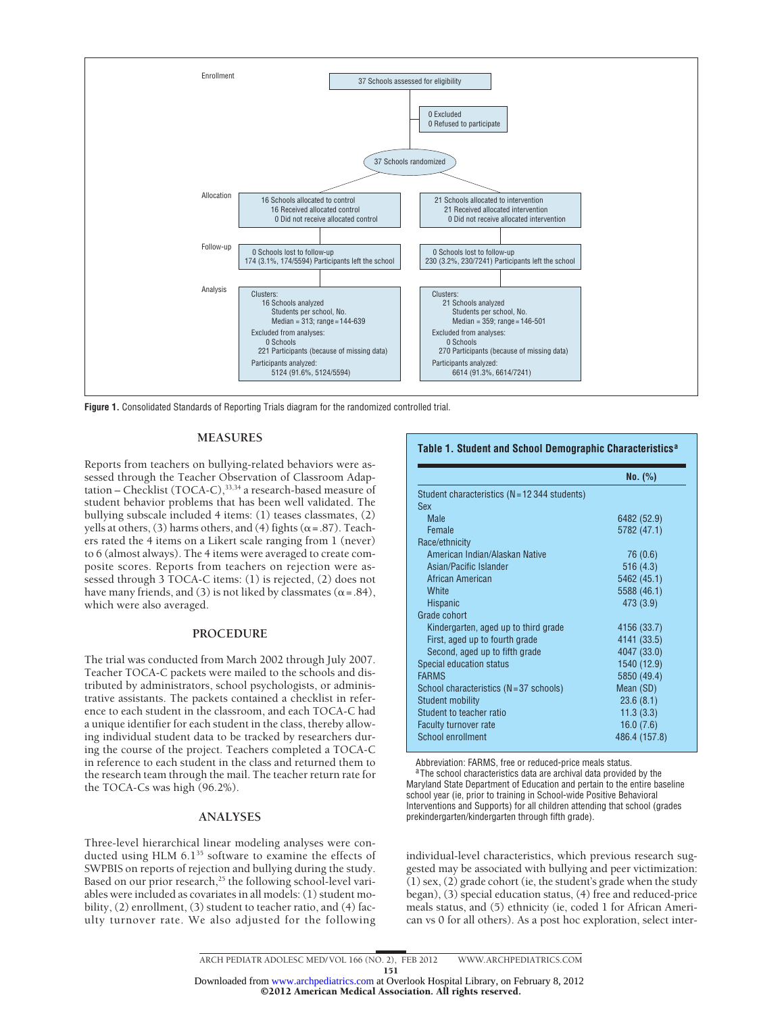

**Figure 1.** Consolidated Standards of Reporting Trials diagram for the randomized controlled trial.

# **MEASURES**

Reports from teachers on bullying-related behaviors were assessed through the Teacher Observation of Classroom Adaptation – Checklist (TOCA-C), $^{33,34}$  a research-based measure of student behavior problems that has been well validated. The bullying subscale included 4 items: (1) teases classmates, (2) yells at others, (3) harms others, and (4) fights ( $\alpha$  = .87). Teachers rated the 4 items on a Likert scale ranging from 1 (never) to 6 (almost always). The 4 items were averaged to create composite scores. Reports from teachers on rejection were assessed through 3 TOCA-C items: (1) is rejected, (2) does not have many friends, and (3) is not liked by classmates ( $\alpha$  = .84), which were also averaged.

# **PROCEDURE**

The trial was conducted from March 2002 through July 2007. Teacher TOCA-C packets were mailed to the schools and distributed by administrators, school psychologists, or administrative assistants. The packets contained a checklist in reference to each student in the classroom, and each TOCA-C had a unique identifier for each student in the class, thereby allowing individual student data to be tracked by researchers during the course of the project. Teachers completed a TOCA-C in reference to each student in the class and returned them to the research team through the mail. The teacher return rate for the TOCA-Cs was high (96.2%).

## **ANALYSES**

Three-level hierarchical linear modeling analyses were conducted using HLM  $6.1^{35}$  software to examine the effects of SWPBIS on reports of rejection and bullying during the study. Based on our prior research,<sup>25</sup> the following school-level variables were included as covariates in all models: (1) student mobility, (2) enrollment, (3) student to teacher ratio, and (4) faculty turnover rate. We also adjusted for the following

### **Table 1. Student and School Demographic Characteristics<sup>a</sup>**

|                                               | No. (%)       |
|-----------------------------------------------|---------------|
| Student characteristics (N = 12 344 students) |               |
| <b>Sex</b>                                    |               |
| <b>Male</b>                                   | 6482 (52.9)   |
| Female                                        | 5782 (47.1)   |
| Race/ethnicity                                |               |
| American Indian/Alaskan Native                | 76 (0.6)      |
| Asian/Pacific Islander                        | 516(4.3)      |
| African American                              | 5462 (45.1)   |
| <b>White</b>                                  | 5588 (46.1)   |
| <b>Hispanic</b>                               | 473 (3.9)     |
| Grade cohort                                  |               |
| Kindergarten, aged up to third grade          | 4156 (33.7)   |
| First, aged up to fourth grade                | 4141 (33.5)   |
| Second, aged up to fifth grade                | 4047 (33.0)   |
| Special education status                      | 1540 (12.9)   |
| <b>FARMS</b>                                  | 5850 (49.4)   |
| School characteristics (N=37 schools)         | Mean (SD)     |
| Student mobility                              | 23.6(8.1)     |
| Student to teacher ratio                      | 11.3(3.3)     |
| <b>Faculty turnover rate</b>                  | 16.0(7.6)     |
| School enrollment                             | 486.4 (157.8) |

Abbreviation: FARMS, free or reduced-price meals status.

aThe school characteristics data are archival data provided by the Maryland State Department of Education and pertain to the entire baseline school year (ie, prior to training in School-wide Positive Behavioral Interventions and Supports) for all children attending that school (grades prekindergarten/kindergarten through fifth grade).

individual-level characteristics, which previous research suggested may be associated with bullying and peer victimization: (1) sex, (2) grade cohort (ie, the student's grade when the study began), (3) special education status, (4) free and reduced-price meals status, and (5) ethnicity (ie, coded 1 for African American vs 0 for all others). As a post hoc exploration, select inter-

ARCH PEDIATR ADOLESC MED/ VOL 166 (NO. 2), FEB 2012 WWW.ARCHPEDIATRICS.COM 151 ©2012 American Medical Association. All rights reserved. Downloaded from [www.archpediatrics.com](http://www.archpediatrics.com) at Overlook Hospital Library, on February 8, 2012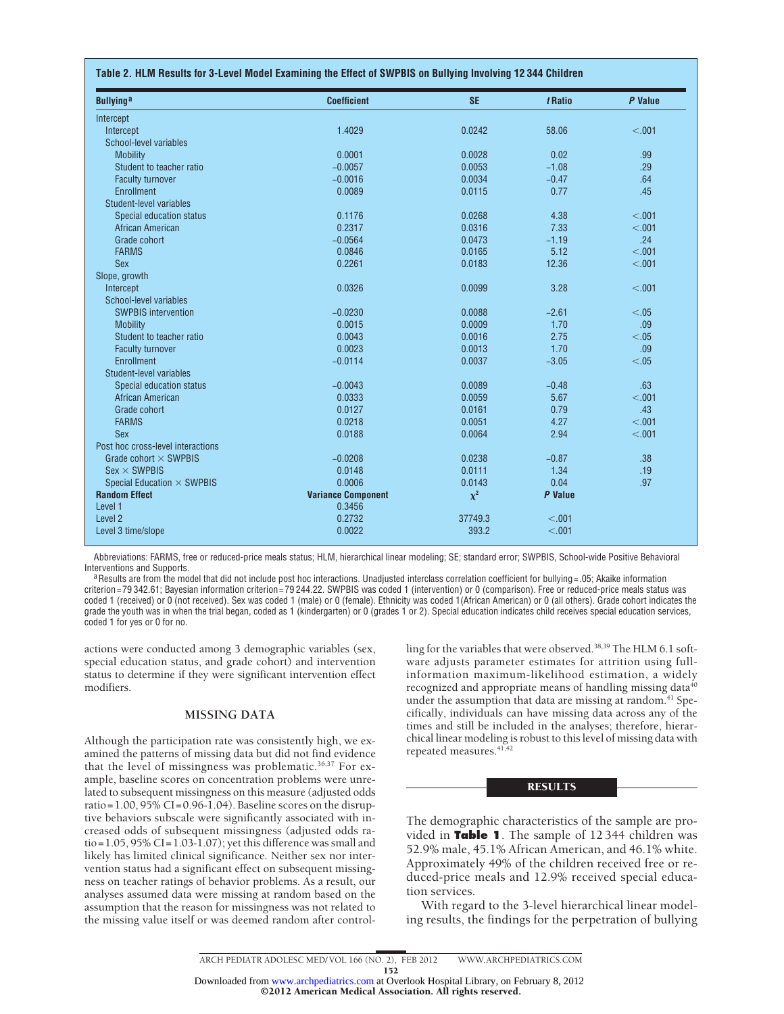| <b>Bullying<sup>a</sup></b>       | <b>Coefficient</b>        | <b>SE</b> | t Ratio | P Value |
|-----------------------------------|---------------------------|-----------|---------|---------|
| Intercept                         |                           |           |         |         |
| Intercept                         | 1.4029                    | 0.0242    | 58.06   | < .001  |
| School-level variables            |                           |           |         |         |
| <b>Mobility</b>                   | 0.0001                    | 0.0028    | 0.02    | .99     |
| Student to teacher ratio          | $-0.0057$                 | 0.0053    | $-1.08$ | .29     |
| <b>Faculty turnover</b>           | $-0.0016$                 | 0.0034    | $-0.47$ | .64     |
| <b>Enrollment</b>                 | 0.0089                    | 0.0115    | 0.77    | .45     |
| Student-level variables           |                           |           |         |         |
| Special education status          | 0.1176                    | 0.0268    | 4.38    | < .001  |
| African American                  | 0.2317                    | 0.0316    | 7.33    | < .001  |
| Grade cohort                      | $-0.0564$                 | 0.0473    | $-1.19$ | .24     |
| <b>FARMS</b>                      | 0.0846                    | 0.0165    | 5.12    | < .001  |
| Sex                               | 0.2261                    | 0.0183    | 12.36   | < .001  |
| Slope, growth                     |                           |           |         |         |
| Intercept                         | 0.0326                    | 0.0099    | 3.28    | < .001  |
| School-level variables            |                           |           |         |         |
| <b>SWPBIS</b> intervention        | $-0.0230$                 | 0.0088    | $-2.61$ | < 0.05  |
| <b>Mobility</b>                   | 0.0015                    | 0.0009    | 1.70    | .09     |
| Student to teacher ratio          | 0.0043                    | 0.0016    | 2.75    | < 0.05  |
| <b>Faculty turnover</b>           | 0.0023                    | 0.0013    | 1.70    | .09     |
| <b>Enrollment</b>                 | $-0.0114$                 | 0.0037    | $-3.05$ | < 0.05  |
| Student-level variables           |                           |           |         |         |
| Special education status          | $-0.0043$                 | 0.0089    | $-0.48$ | .63     |
| <b>African American</b>           | 0.0333                    | 0.0059    | 5.67    | < .001  |
| Grade cohort                      | 0.0127                    | 0.0161    | 0.79    | .43     |
| <b>FARMS</b>                      | 0.0218                    | 0.0051    | 4.27    | < .001  |
| <b>Sex</b>                        | 0.0188                    | 0.0064    | 2.94    | < .001  |
| Post hoc cross-level interactions |                           |           |         |         |
| Grade cohort $\times$ SWPBIS      | $-0.0208$                 | 0.0238    | $-0.87$ | .38     |
| $Sex \times SWPBIS$               | 0.0148                    | 0.0111    | 1.34    | .19     |
| Special Education $\times$ SWPBIS | 0.0006                    | 0.0143    | 0.04    | .97     |
| <b>Random Effect</b>              | <b>Variance Component</b> | $\chi^2$  | P Value |         |
| Level 1                           | 0.3456                    |           |         |         |
| Level <sub>2</sub>                | 0.2732                    | 37749.3   | < .001  |         |
| Level 3 time/slope                | 0.0022                    | 393.2     | < .001  |         |

Abbreviations: FARMS, free or reduced-price meals status; HLM, hierarchical linear modeling; SE; standard error; SWPBIS, School-wide Positive Behavioral

a Results are from the model that did not include post hoc interactions. Unadjusted interclass correlation coefficient for bullying=.05; Akaike information criterion=79 342.61; Bayesian information criterion=79 244.22. SWPBIS was coded 1 (intervention) or 0 (comparison). Free or reduced-price meals status was coded 1 (received) or 0 (not received). Sex was coded 1 (male) or 0 (female). Ethnicity was coded 1(African American) or 0 (all others). Grade cohort indicates the grade the youth was in when the trial began, coded as 1 (kindergarten) or 0 (grades 1 or 2). Special education indicates child receives special education services, coded 1 for yes or 0 for no.

actions were conducted among 3 demographic variables (sex, special education status, and grade cohort) and intervention status to determine if they were significant intervention effect modifiers.

# **MISSING DATA**

Although the participation rate was consistently high, we examined the patterns of missing data but did not find evidence that the level of missingness was problematic.<sup>36,37</sup> For example, baseline scores on concentration problems were unrelated to subsequent missingness on this measure (adjusted odds ratio= $1.00$ ,  $95\%$  CI= $0.96-1.04$ ). Baseline scores on the disruptive behaviors subscale were significantly associated with increased odds of subsequent missingness (adjusted odds ratio= $1.05$ ,  $95\%$  CI= $1.03-1.07$ ); yet this difference was small and likely has limited clinical significance. Neither sex nor intervention status had a significant effect on subsequent missingness on teacher ratings of behavior problems. As a result, our analyses assumed data were missing at random based on the assumption that the reason for missingness was not related to the missing value itself or was deemed random after controlling for the variables that were observed.<sup>38,39</sup> The HLM 6.1 software adjusts parameter estimates for attrition using fullinformation maximum-likelihood estimation, a widely recognized and appropriate means of handling missing data<sup>40</sup> under the assumption that data are missing at random.<sup>41</sup> Specifically, individuals can have missing data across any of the times and still be included in the analyses; therefore, hierarchical linear modeling is robust to this level of missing data with repeated measures.<sup>41,42</sup>

# **RESULTS**

The demographic characteristics of the sample are provided in **Table 1**. The sample of 12 344 children was 52.9% male, 45.1% African American, and 46.1% white. Approximately 49% of the children received free or reduced-price meals and 12.9% received special education services.

With regard to the 3-level hierarchical linear modeling results, the findings for the perpetration of bullying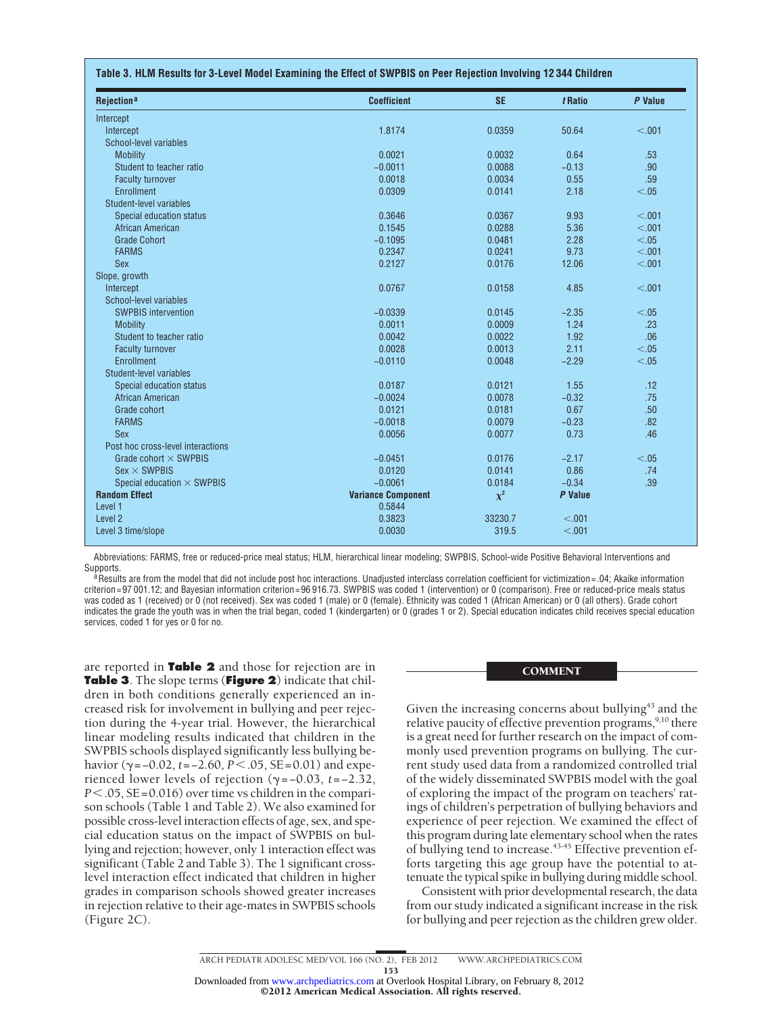| Rejection <sup>a</sup>            | <b>Coefficient</b>        | <b>SE</b> | t Ratio | P Value |
|-----------------------------------|---------------------------|-----------|---------|---------|
| Intercept                         |                           |           |         |         |
| Intercept                         | 1.8174                    | 0.0359    | 50.64   | < .001  |
| School-level variables            |                           |           |         |         |
| <b>Mobility</b>                   | 0.0021                    | 0.0032    | 0.64    | .53     |
| Student to teacher ratio          | $-0.0011$                 | 0.0088    | $-0.13$ | .90     |
| <b>Faculty turnover</b>           | 0.0018                    | 0.0034    | 0.55    | .59     |
| <b>Enrollment</b>                 | 0.0309                    | 0.0141    | 2.18    | < 0.05  |
| Student-level variables           |                           |           |         |         |
| Special education status          | 0.3646                    | 0.0367    | 9.93    | < .001  |
| <b>African American</b>           | 0.1545                    | 0.0288    | 5.36    | < .001  |
| <b>Grade Cohort</b>               | $-0.1095$                 | 0.0481    | 2.28    | < 0.05  |
| <b>FARMS</b>                      | 0.2347                    | 0.0241    | 9.73    | < .001  |
| <b>Sex</b>                        | 0.2127                    | 0.0176    | 12.06   | < .001  |
| Slope, growth                     |                           |           |         |         |
| Intercept                         | 0.0767                    | 0.0158    | 4.85    | < .001  |
| School-level variables            |                           |           |         |         |
| <b>SWPBIS</b> intervention        | $-0.0339$                 | 0.0145    | $-2.35$ | < 0.05  |
| <b>Mobility</b>                   | 0.0011                    | 0.0009    | 1.24    | .23     |
| Student to teacher ratio          | 0.0042                    | 0.0022    | 1.92    | .06     |
| <b>Faculty turnover</b>           | 0.0028                    | 0.0013    | 2.11    | < 0.05  |
| <b>Enrollment</b>                 | $-0.0110$                 | 0.0048    | $-2.29$ | < 0.05  |
| Student-level variables           |                           |           |         |         |
| Special education status          | 0.0187                    | 0.0121    | 1.55    | .12     |
| <b>African American</b>           | $-0.0024$                 | 0.0078    | $-0.32$ | .75     |
| Grade cohort                      | 0.0121                    | 0.0181    | 0.67    | .50     |
| <b>FARMS</b>                      | $-0.0018$                 | 0.0079    | $-0.23$ | .82     |
| <b>Sex</b>                        | 0.0056                    | 0.0077    | 0.73    | .46     |
| Post hoc cross-level interactions |                           |           |         |         |
| Grade cohort $\times$ SWPBIS      | $-0.0451$                 | 0.0176    | $-2.17$ | < 0.05  |
| $Sex \times SWPBIS$               | 0.0120                    | 0.0141    | 0.86    | .74     |
| Special education $\times$ SWPBIS | $-0.0061$                 | 0.0184    | $-0.34$ | .39     |
| <b>Random Effect</b>              | <b>Variance Component</b> | $\chi^2$  | P Value |         |
| Level 1                           | 0.5844                    |           |         |         |
| Level <sub>2</sub>                | 0.3823                    | 33230.7   | < .001  |         |
| Level 3 time/slope                | 0.0030                    | 319.5     | < .001  |         |

Abbreviations: FARMS, free or reduced-price meal status; HLM, hierarchical linear modeling; SWPBIS, School-wide Positive Behavioral Interventions and

a Results are from the model that did not include post hoc interactions. Unadjusted interclass correlation coefficient for victimization=.04; Akaike information criterion=97 001.12; and Bayesian information criterion=96 916.73. SWPBIS was coded 1 (intervention) or 0 (comparison). Free or reduced-price meals status was coded as 1 (received) or 0 (not received). Sex was coded 1 (male) or 0 (female). Ethnicity was coded 1 (African American) or 0 (all others). Grade cohort indicates the grade the youth was in when the trial began, coded 1 (kindergarten) or 0 (grades 1 or 2). Special education indicates child receives special education services, coded 1 for yes or 0 for no.

are reported in **Table 2** and those for rejection are in **Table 3**. The slope terms (**Figure 2**) indicate that children in both conditions generally experienced an increased risk for involvement in bullying and peer rejection during the 4-year trial. However, the hierarchical linear modeling results indicated that children in the SWPBIS schools displayed significantly less bullying behavior (=−0.02, *t =*−2.60, *P*.05, SE=0.01) and experienced lower levels of rejection (=−0.03, *t =*−2.32, *P* $<$ .05, *SE*=0.016) over time vs children in the comparison schools (Table 1 and Table 2). We also examined for possible cross-level interaction effects of age, sex, and special education status on the impact of SWPBIS on bullying and rejection; however, only 1 interaction effect was significant (Table 2 and Table 3). The 1 significant crosslevel interaction effect indicated that children in higher grades in comparison schools showed greater increases in rejection relative to their age-mates in SWPBIS schools (Figure 2C).

#### **COMMENT**

Given the increasing concerns about bullying<sup>43</sup> and the relative paucity of effective prevention programs,  $9,10$  there is a great need for further research on the impact of commonly used prevention programs on bullying. The current study used data from a randomized controlled trial of the widely disseminated SWPBIS model with the goal of exploring the impact of the program on teachers' ratings of children's perpetration of bullying behaviors and experience of peer rejection. We examined the effect of this program during late elementary school when the rates of bullying tend to increase.<sup>43-45</sup> Effective prevention efforts targeting this age group have the potential to attenuate the typical spike in bullying during middle school.

Consistent with prior developmental research, the data from our study indicated a significant increase in the risk for bullying and peer rejection as the children grew older.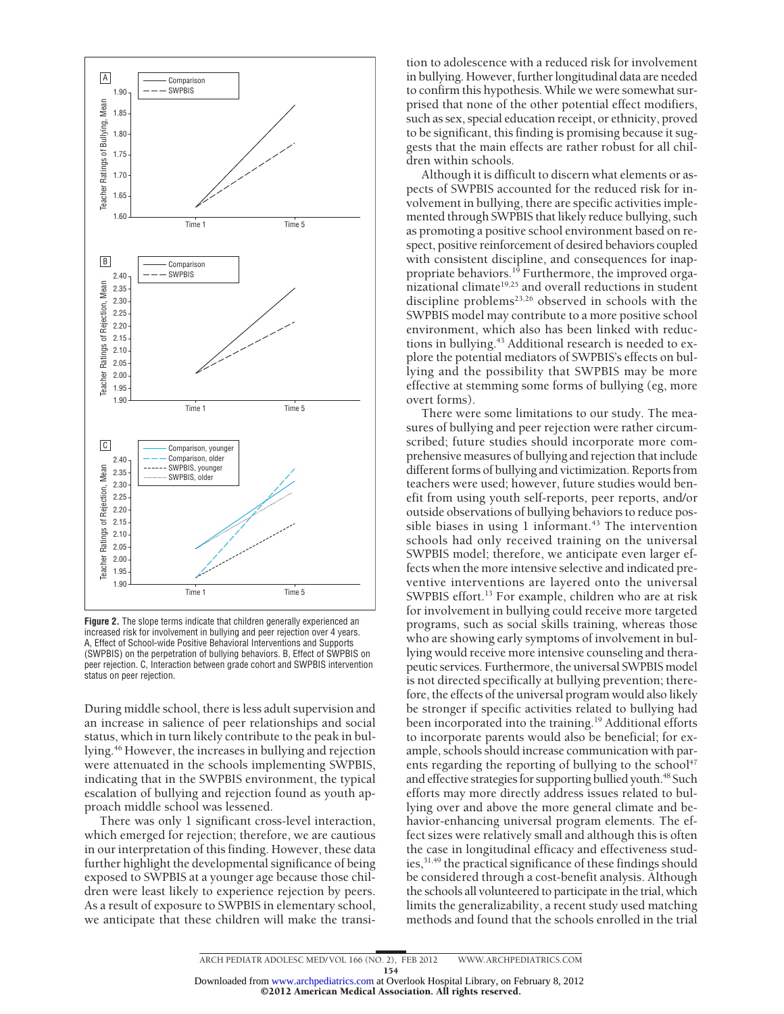

**Figure 2.** The slope terms indicate that children generally experienced an increased risk for involvement in bullying and peer rejection over 4 years. A, Effect of School-wide Positive Behavioral Interventions and Supports (SWPBIS) on the perpetration of bullying behaviors. B, Effect of SWPBIS on peer rejection. C, Interaction between grade cohort and SWPBIS intervention status on peer rejection.

During middle school, there is less adult supervision and an increase in salience of peer relationships and social status, which in turn likely contribute to the peak in bullying.<sup>46</sup> However, the increases in bullying and rejection were attenuated in the schools implementing SWPBIS, indicating that in the SWPBIS environment, the typical escalation of bullying and rejection found as youth approach middle school was lessened.

There was only 1 significant cross-level interaction, which emerged for rejection; therefore, we are cautious in our interpretation of this finding. However, these data further highlight the developmental significance of being exposed to SWPBIS at a younger age because those children were least likely to experience rejection by peers. As a result of exposure to SWPBIS in elementary school, we anticipate that these children will make the transi-

tion to adolescence with a reduced risk for involvement in bullying. However, further longitudinal data are needed to confirm this hypothesis. While we were somewhat surprised that none of the other potential effect modifiers, such as sex, special education receipt, or ethnicity, proved to be significant, this finding is promising because it suggests that the main effects are rather robust for all children within schools.

Although it is difficult to discern what elements or aspects of SWPBIS accounted for the reduced risk for involvement in bullying, there are specific activities implemented through SWPBIS that likely reduce bullying, such as promoting a positive school environment based on respect, positive reinforcement of desired behaviors coupled with consistent discipline, and consequences for inappropriate behaviors.<sup>19</sup> Furthermore, the improved organizational climate<sup>19,25</sup> and overall reductions in student discipline problems<sup>23,26</sup> observed in schools with the SWPBIS model may contribute to a more positive school environment, which also has been linked with reductions in bullying.<sup>43</sup> Additional research is needed to explore the potential mediators of SWPBIS's effects on bullying and the possibility that SWPBIS may be more effective at stemming some forms of bullying (eg, more overt forms).

There were some limitations to our study. The measures of bullying and peer rejection were rather circumscribed; future studies should incorporate more comprehensive measures of bullying and rejection that include different forms of bullying and victimization. Reports from teachers were used; however, future studies would benefit from using youth self-reports, peer reports, and/or outside observations of bullying behaviors to reduce possible biases in using 1 informant.<sup>43</sup> The intervention schools had only received training on the universal SWPBIS model; therefore, we anticipate even larger effects when the more intensive selective and indicated preventive interventions are layered onto the universal SWPBIS effort.<sup>13</sup> For example, children who are at risk for involvement in bullying could receive more targeted programs, such as social skills training, whereas those who are showing early symptoms of involvement in bullying would receive more intensive counseling and therapeutic services. Furthermore, the universal SWPBIS model is not directed specifically at bullying prevention; therefore, the effects of the universal program would also likely be stronger if specific activities related to bullying had been incorporated into the training.<sup>19</sup> Additional efforts to incorporate parents would also be beneficial; for example, schools should increase communication with parents regarding the reporting of bullying to the school<sup>47</sup> and effective strategies for supporting bullied youth.<sup>48</sup> Such efforts may more directly address issues related to bullying over and above the more general climate and behavior-enhancing universal program elements. The effect sizes were relatively small and although this is often the case in longitudinal efficacy and effectiveness studies,<sup>31,49</sup> the practical significance of these findings should be considered through a cost-benefit analysis. Although the schools all volunteered to participate in the trial, which limits the generalizability, a recent study used matching methods and found that the schools enrolled in the trial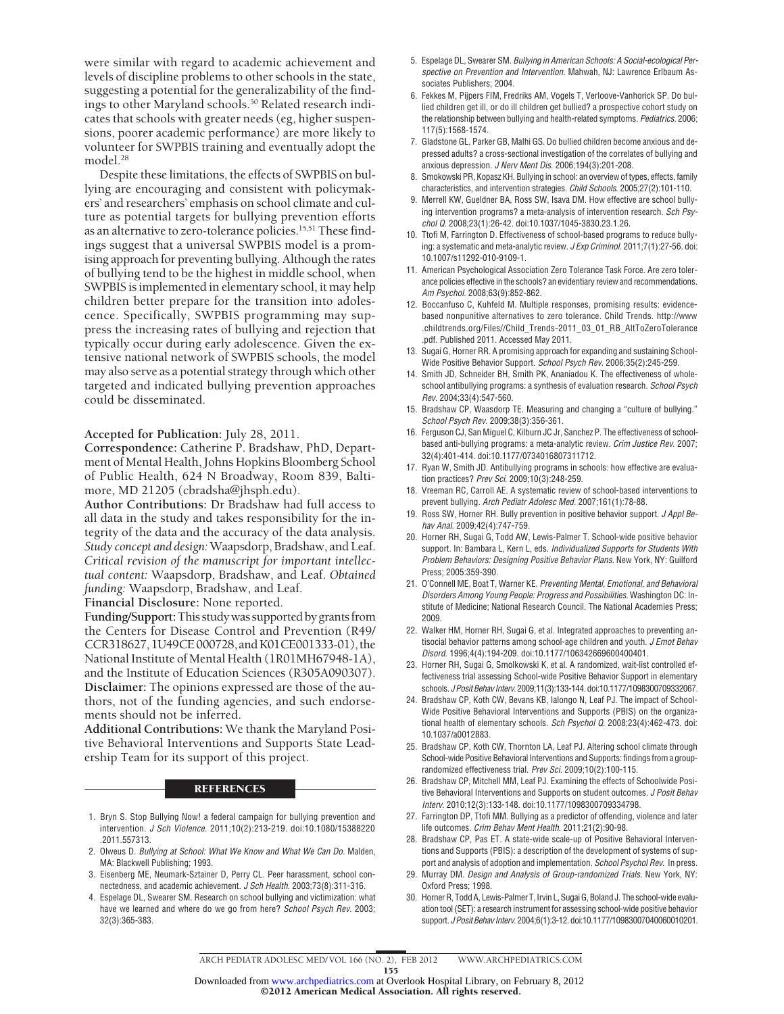were similar with regard to academic achievement and levels of discipline problems to other schools in the state, suggesting a potential for the generalizability of the findings to other Maryland schools.<sup>50</sup> Related research indicates that schools with greater needs (eg, higher suspensions, poorer academic performance) are more likely to volunteer for SWPBIS training and eventually adopt the model.28

Despite these limitations, the effects of SWPBIS on bullying are encouraging and consistent with policymakers' and researchers' emphasis on school climate and culture as potential targets for bullying prevention efforts as an alternative to zero-tolerance policies.<sup>15,51</sup> These findings suggest that a universal SWPBIS model is a promising approach for preventing bullying. Although the rates of bullying tend to be the highest in middle school, when SWPBIS is implemented in elementary school, it may help children better prepare for the transition into adolescence. Specifically, SWPBIS programming may suppress the increasing rates of bullying and rejection that typically occur during early adolescence. Given the extensive national network of SWPBIS schools, the model may also serve as a potential strategy through which other targeted and indicated bullying prevention approaches could be disseminated.

#### **Accepted for Publication:** July 28, 2011.

**Correspondence:** Catherine P. Bradshaw, PhD, Department of Mental Health, Johns Hopkins Bloomberg School of Public Health, 624 N Broadway, Room 839, Baltimore, MD 21205 (cbradsha@jhsph.edu).

**Author Contributions:** Dr Bradshaw had full access to all data in the study and takes responsibility for the integrity of the data and the accuracy of the data analysis. *Study concept and design:* Waapsdorp, Bradshaw, and Leaf. *Critical revision of the manuscript for important intellectual content:* Waapsdorp, Bradshaw, and Leaf. *Obtained funding:* Waapsdorp, Bradshaw, and Leaf.

**Financial Disclosure:** None reported.

**Funding/Support:** This study was supported by grants from the Centers for Disease Control and Prevention (R49/ CCR318627, 1U49CE 000728, and K01CE001333-01), the National Institute of Mental Health (1R01MH67948-1A), and the Institute of Education Sciences (R305A090307). **Disclaimer:** The opinions expressed are those of the authors, not of the funding agencies, and such endorsements should not be inferred.

**Additional Contributions:** We thank the Maryland Positive Behavioral Interventions and Supports State Leadership Team for its support of this project.

#### **REFERENCES**

- 1. Bryn S. Stop Bullying Now! a federal campaign for bullying prevention and intervention. *J Sch Violence*. 2011;10(2):213-219. doi:10.1080/15388220 .2011.557313.
- 2. Olweus D. *Bullying at School: What We Know and What We Can Do.* Malden, MA: Blackwell Publishing; 1993.
- 3. Eisenberg ME, Neumark-Sztainer D, Perry CL. Peer harassment, school connectedness, and academic achievement. *J Sch Health*. 2003;73(8):311-316.
- 4. Espelage DL, Swearer SM. Research on school bullying and victimization: what have we learned and where do we go from here? *School Psych Rev*. 2003; 32(3):365-383.
- 5. Espelage DL, Swearer SM. *Bullying in American Schools: A Social-ecological Perspective on Prevention and Intervention.* Mahwah, NJ: Lawrence Erlbaum Associates Publishers; 2004.
- 6. Fekkes M, Pijpers FIM, Fredriks AM, Vogels T, Verloove-Vanhorick SP. Do bullied children get ill, or do ill children get bullied? a prospective cohort study on the relationship between bullying and health-related symptoms. *Pediatrics*. 2006; 117(5):1568-1574.
- 7. Gladstone GL, Parker GB, Malhi GS. Do bullied children become anxious and depressed adults? a cross-sectional investigation of the correlates of bullying and anxious depression. *J Nerv Ment Dis*. 2006;194(3):201-208.
- 8. Smokowski PR, Kopasz KH. Bullying in school: an overview of types, effects, family characteristics, and intervention strategies. *Child Schools*. 2005;27(2):101-110.
- 9. Merrell KW, Gueldner BA, Ross SW, Isava DM. How effective are school bullying intervention programs? a meta-analysis of intervention research. *Sch Psychol Q*. 2008;23(1):26-42. doi:10.1037/1045-3830.23.1.26.
- 10. Ttofi M, Farrington D. Effectiveness of school-based programs to reduce bullying: a systematic and meta-analytic review. *J Exp Criminol*. 2011;7(1):27-56. doi: 10.1007/s11292-010-9109-1.
- 11. American Psychological Association Zero Tolerance Task Force. Are zero tolerance policies effective in the schools? an evidentiary review and recommendations. *Am Psychol*. 2008;63(9):852-862.
- 12. Boccanfuso C, Kuhfeld M. Multiple responses, promising results: evidencebased nonpunitive alternatives to zero tolerance. Child Trends. http://www .childtrends.org/Files//Child\_Trends-2011\_03\_01\_RB\_AltToZeroTolerance .pdf. Published 2011. Accessed May 2011.
- 13. Sugai G, Horner RR. A promising approach for expanding and sustaining School-Wide Positive Behavior Support. *School Psych Rev*. 2006;35(2):245-259.
- 14. Smith JD, Schneider BH, Smith PK, Ananiadou K. The effectiveness of wholeschool antibullying programs: a synthesis of evaluation research. *School Psych Rev*. 2004;33(4):547-560.
- 15. Bradshaw CP, Waasdorp TE. Measuring and changing a "culture of bullying." *School Psych Rev*. 2009;38(3):356-361.
- 16. Ferguson CJ, San Miguel C, Kilburn JC Jr, Sanchez P. The effectiveness of schoolbased anti-bullying programs: a meta-analytic review. *Crim Justice Rev*. 2007; 32(4):401-414. doi:10.1177/0734016807311712.
- 17. Ryan W, Smith JD. Antibullying programs in schools: how effective are evaluation practices? *Prev Sci*. 2009;10(3):248-259.
- 18. Vreeman RC, Carroll AE. A systematic review of school-based interventions to prevent bullying. *Arch Pediatr Adolesc Med*. 2007;161(1):78-88.
- 19. Ross SW, Horner RH. Bully prevention in positive behavior support. *J Appl Behav Anal*. 2009;42(4):747-759.
- 20. Horner RH, Sugai G, Todd AW, Lewis-Palmer T. School-wide positive behavior support. In: Bambara L, Kern L, eds. *Individualized Supports for Students With Problem Behaviors: Designing Positive Behavior Plans.* New York, NY: Guilford Press; 2005:359-390.
- 21. O'Connell ME, Boat T, Warner KE. *Preventing Mental, Emotional, and Behavioral Disorders Among Young People: Progress and Possibilities.* Washington DC: Institute of Medicine; National Research Council. The National Academies Press; 2009.
- 22. Walker HM, Horner RH, Sugai G, et al. Integrated approaches to preventing antisocial behavior patterns among school-age children and youth. *J Emot Behav Disord*. 1996;4(4):194-209. doi:10.1177/106342669600400401.
- 23. Horner RH, Sugai G, Smolkowski K, et al. A randomized, wait-list controlled effectiveness trial assessing School-wide Positive Behavior Support in elementary schools. *J Posit BehavInterv*. 2009;11(3):133-144. doi:10.1177/1098300709332067.
- 24. Bradshaw CP, Koth CW, Bevans KB, Ialongo N, Leaf PJ. The impact of School-Wide Positive Behavioral Interventions and Supports (PBIS) on the organizational health of elementary schools. *Sch Psychol Q*. 2008;23(4):462-473. doi: 10.1037/a0012883.
- 25. Bradshaw CP, Koth CW, Thornton LA, Leaf PJ. Altering school climate through School-wide Positive Behavioral Interventions and Supports: findings from a grouprandomized effectiveness trial. *Prev Sci*. 2009;10(2):100-115.
- 26. Bradshaw CP, Mitchell MM, Leaf PJ. Examining the effects of Schoolwide Positive Behavioral Interventions and Supports on student outcomes. *J Posit Behav Interv*. 2010;12(3):133-148. doi:10.1177/1098300709334798.
- 27. Farrington DP, Ttofi MM. Bullying as a predictor of offending, violence and later life outcomes. *Crim Behav Ment Health*. 2011;21(2):90-98.
- 28. Bradshaw CP, Pas ET. A state-wide scale-up of Positive Behavioral Interventions and Supports (PBIS): a description of the development of systems of support and analysis of adoption and implementation. *School Psychol Rev*. In press.
- 29. Murray DM. *Design and Analysis of Group-randomized Trials.* New York, NY: Oxford Press; 1998.
- 30. Horner R, Todd A, Lewis-Palmer T, Irvin L, Sugai G, Boland J. The school-wide evaluation tool (SET): a research instrument for assessing school-wide positive behavior support. *J Posit Behav Interv.* 2004;6(1):3-12. doi:10.1177/10983007040060010201.

ARCH PEDIATR ADOLESC MED/ VOL 166 (NO. 2), FEB 2012 WWW.ARCHPEDIATRICS.COM

155

©2012 American Medical Association. All rights reserved. Downloaded from [www.archpediatrics.com](http://www.archpediatrics.com) at Overlook Hospital Library, on February 8, 2012